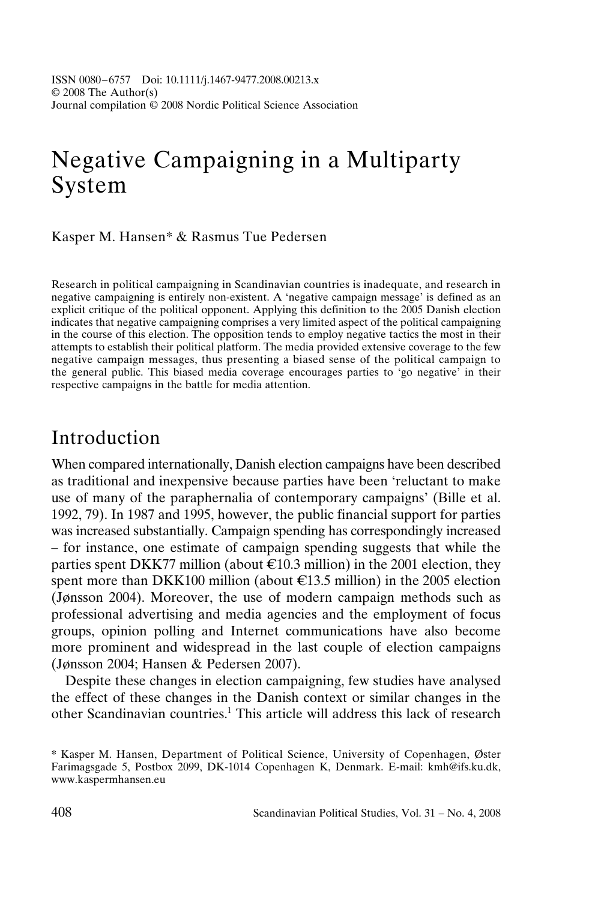# Blackwell Publishing Ltd Oxford, UK SCPScandinavian Political Studies 0080-6757 1467-9477© 2008 Nordic Political Science Association XXX **ORIGINAL ARTICLES***XX*Negative Campaigning in a Multiparty System

Kasper M. Hansen\* & Rasmus Tue Pedersen

Research in political campaigning in Scandinavian countries is inadequate, and research in negative campaigning is entirely non-existent. A 'negative campaign message' is defined as an explicit critique of the political opponent. Applying this definition to the 2005 Danish election indicates that negative campaigning comprises a very limited aspect of the political campaigning in the course of this election. The opposition tends to employ negative tactics the most in their attempts to establish their political platform. The media provided extensive coverage to the few negative campaign messages, thus presenting a biased sense of the political campaign to the general public. This biased media coverage encourages parties to 'go negative' in their respective campaigns in the battle for media attention.

### Introduction

When compared internationally, Danish election campaigns have been described as traditional and inexpensive because parties have been 'reluctant to make use of many of the paraphernalia of contemporary campaigns' (Bille et al. 1992, 79). In 1987 and 1995, however, the public financial support for parties was increased substantially. Campaign spending has correspondingly increased – for instance, one estimate of campaign spending suggests that while the parties spent DKK77 million (about  $\epsilon$ 10.3 million) in the 2001 election, they spent more than DKK100 million (about  $\epsilon$ 13.5 million) in the 2005 election (Jønsson 2004). Moreover, the use of modern campaign methods such as professional advertising and media agencies and the employment of focus groups, opinion polling and Internet communications have also become more prominent and widespread in the last couple of election campaigns (Jønsson 2004; Hansen & Pedersen 2007).

Despite these changes in election campaigning, few studies have analysed the effect of these changes in the Danish context or similar changes in the other Scandinavian countries.<sup>1</sup> This article will address this lack of research

<sup>\*</sup> Kasper M. Hansen, Department of Political Science, University of Copenhagen, Øster Farimagsgade 5, Postbox 2099, DK-1014 Copenhagen K, Denmark. E-mail: kmh@ifs.ku.dk, <www.kaspermhansen.eu>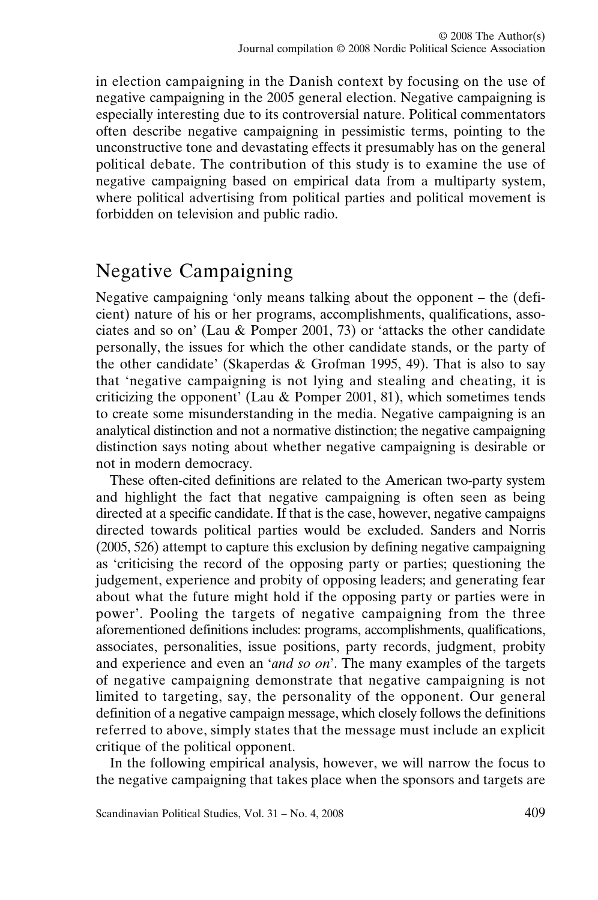in election campaigning in the Danish context by focusing on the use of negative campaigning in the 2005 general election. Negative campaigning is especially interesting due to its controversial nature. Political commentators often describe negative campaigning in pessimistic terms, pointing to the unconstructive tone and devastating effects it presumably has on the general political debate. The contribution of this study is to examine the use of negative campaigning based on empirical data from a multiparty system, where political advertising from political parties and political movement is forbidden on television and public radio.

### Negative Campaigning

Negative campaigning 'only means talking about the opponent – the (deficient) nature of his or her programs, accomplishments, qualifications, associates and so on' (Lau & Pomper 2001, 73) or 'attacks the other candidate personally, the issues for which the other candidate stands, or the party of the other candidate' (Skaperdas & Grofman 1995, 49). That is also to say that 'negative campaigning is not lying and stealing and cheating, it is criticizing the opponent' (Lau & Pomper 2001, 81), which sometimes tends to create some misunderstanding in the media. Negative campaigning is an analytical distinction and not a normative distinction; the negative campaigning distinction says noting about whether negative campaigning is desirable or not in modern democracy.

These often-cited definitions are related to the American two-party system and highlight the fact that negative campaigning is often seen as being directed at a specific candidate. If that is the case, however, negative campaigns directed towards political parties would be excluded. Sanders and Norris (2005, 526) attempt to capture this exclusion by defining negative campaigning as 'criticising the record of the opposing party or parties; questioning the judgement, experience and probity of opposing leaders; and generating fear about what the future might hold if the opposing party or parties were in power'. Pooling the targets of negative campaigning from the three aforementioned definitions includes: programs, accomplishments, qualifications, associates, personalities, issue positions, party records, judgment, probity and experience and even an '*and so on*'. The many examples of the targets of negative campaigning demonstrate that negative campaigning is not limited to targeting, say, the personality of the opponent. Our general definition of a negative campaign message, which closely follows the definitions referred to above, simply states that the message must include an explicit critique of the political opponent.

In the following empirical analysis, however, we will narrow the focus to the negative campaigning that takes place when the sponsors and targets are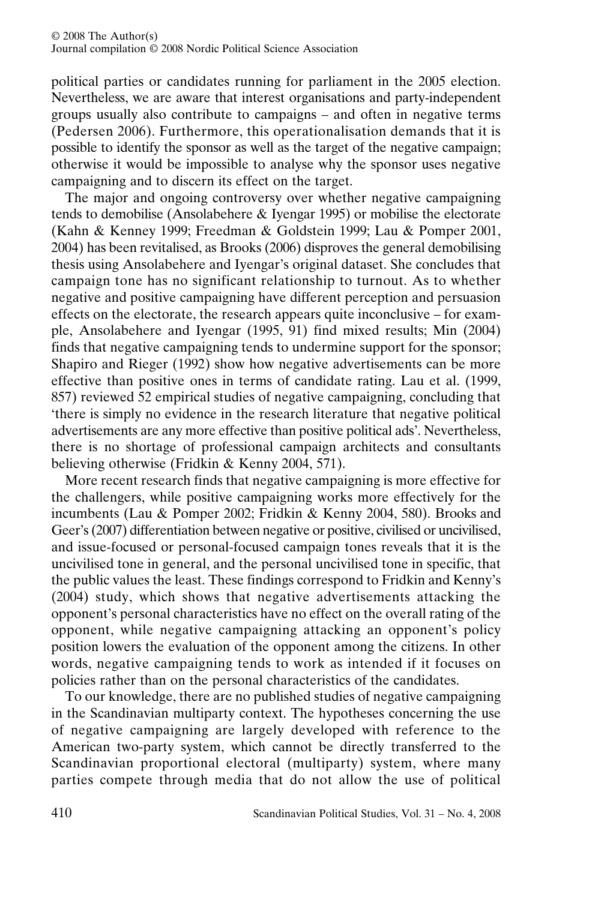political parties or candidates running for parliament in the 2005 election. Nevertheless, we are aware that interest organisations and party-independent groups usually also contribute to campaigns – and often in negative terms (Pedersen 2006). Furthermore, this operationalisation demands that it is possible to identify the sponsor as well as the target of the negative campaign; otherwise it would be impossible to analyse why the sponsor uses negative campaigning and to discern its effect on the target.

The major and ongoing controversy over whether negative campaigning tends to demobilise (Ansolabehere & Iyengar 1995) or mobilise the electorate (Kahn & Kenney 1999; Freedman & Goldstein 1999; Lau & Pomper 2001, 2004) has been revitalised, as Brooks (2006) disproves the general demobilising thesis using Ansolabehere and Iyengar's original dataset. She concludes that campaign tone has no significant relationship to turnout. As to whether negative and positive campaigning have different perception and persuasion effects on the electorate, the research appears quite inconclusive – for example, Ansolabehere and Iyengar (1995, 91) find mixed results; Min (2004) finds that negative campaigning tends to undermine support for the sponsor; Shapiro and Rieger (1992) show how negative advertisements can be more effective than positive ones in terms of candidate rating. Lau et al. (1999, 857) reviewed 52 empirical studies of negative campaigning, concluding that 'there is simply no evidence in the research literature that negative political advertisements are any more effective than positive political ads'. Nevertheless, there is no shortage of professional campaign architects and consultants believing otherwise (Fridkin & Kenny 2004, 571).

More recent research finds that negative campaigning is more effective for the challengers, while positive campaigning works more effectively for the incumbents (Lau & Pomper 2002; Fridkin & Kenny 2004, 580). Brooks and Geer's (2007) differentiation between negative or positive, civilised or uncivilised, and issue-focused or personal-focused campaign tones reveals that it is the uncivilised tone in general, and the personal uncivilised tone in specific, that the public values the least. These findings correspond to Fridkin and Kenny's (2004) study, which shows that negative advertisements attacking the opponent's personal characteristics have no effect on the overall rating of the opponent, while negative campaigning attacking an opponent's policy position lowers the evaluation of the opponent among the citizens. In other words, negative campaigning tends to work as intended if it focuses on policies rather than on the personal characteristics of the candidates.

To our knowledge, there are no published studies of negative campaigning in the Scandinavian multiparty context. The hypotheses concerning the use of negative campaigning are largely developed with reference to the American two-party system, which cannot be directly transferred to the Scandinavian proportional electoral (multiparty) system, where many parties compete through media that do not allow the use of political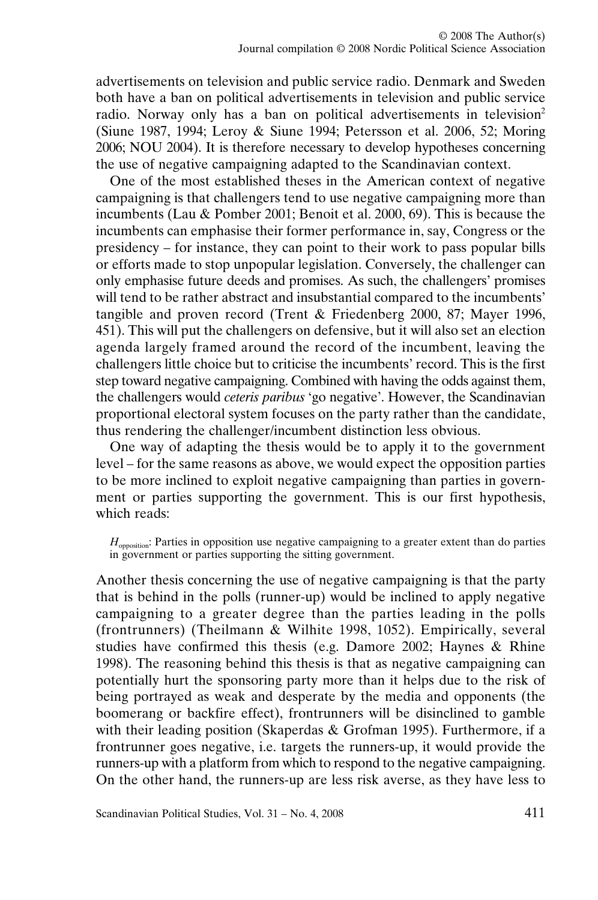advertisements on television and public service radio. Denmark and Sweden both have a ban on political advertisements in television and public service radio. Norway only has a ban on political advertisements in television<sup>2</sup> (Siune 1987, 1994; Leroy & Siune 1994; Petersson et al. 2006, 52; Moring 2006; NOU 2004). It is therefore necessary to develop hypotheses concerning the use of negative campaigning adapted to the Scandinavian context.

One of the most established theses in the American context of negative campaigning is that challengers tend to use negative campaigning more than incumbents (Lau & Pomber 2001; Benoit et al. 2000, 69). This is because the incumbents can emphasise their former performance in, say, Congress or the presidency – for instance, they can point to their work to pass popular bills or efforts made to stop unpopular legislation. Conversely, the challenger can only emphasise future deeds and promises. As such, the challengers' promises will tend to be rather abstract and insubstantial compared to the incumbents' tangible and proven record (Trent & Friedenberg 2000, 87; Mayer 1996, 451). This will put the challengers on defensive, but it will also set an election agenda largely framed around the record of the incumbent, leaving the challengers little choice but to criticise the incumbents' record. This is the first step toward negative campaigning. Combined with having the odds against them, the challengers would *ceteris paribus* 'go negative'. However, the Scandinavian proportional electoral system focuses on the party rather than the candidate, thus rendering the challenger/incumbent distinction less obvious.

One way of adapting the thesis would be to apply it to the government level – for the same reasons as above, we would expect the opposition parties to be more inclined to exploit negative campaigning than parties in government or parties supporting the government. This is our first hypothesis, which reads:

H<sub>opposition: Parties in opposition use negative campaigning to a greater extent than do parties</sub> in government or parties supporting the sitting government.

Another thesis concerning the use of negative campaigning is that the party that is behind in the polls (runner-up) would be inclined to apply negative campaigning to a greater degree than the parties leading in the polls (frontrunners) (Theilmann & Wilhite 1998, 1052). Empirically, several studies have confirmed this thesis (e.g. Damore 2002; Haynes & Rhine 1998). The reasoning behind this thesis is that as negative campaigning can potentially hurt the sponsoring party more than it helps due to the risk of being portrayed as weak and desperate by the media and opponents (the boomerang or backfire effect), frontrunners will be disinclined to gamble with their leading position (Skaperdas & Grofman 1995). Furthermore, if a frontrunner goes negative, i.e. targets the runners-up, it would provide the runners-up with a platform from which to respond to the negative campaigning. On the other hand, the runners-up are less risk averse, as they have less to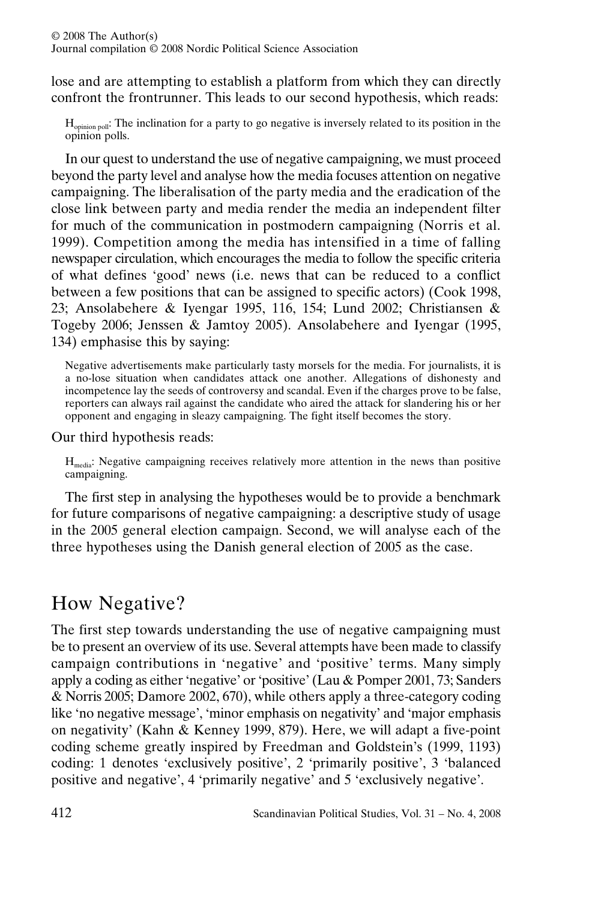lose and are attempting to establish a platform from which they can directly confront the frontrunner. This leads to our second hypothesis, which reads:

H<sub>opinion poll</sub>: The inclination for a party to go negative is inversely related to its position in the opinion polls.

In our quest to understand the use of negative campaigning, we must proceed beyond the party level and analyse how the media focuses attention on negative campaigning. The liberalisation of the party media and the eradication of the close link between party and media render the media an independent filter for much of the communication in postmodern campaigning (Norris et al. 1999). Competition among the media has intensified in a time of falling newspaper circulation, which encourages the media to follow the specific criteria of what defines 'good' news (i.e. news that can be reduced to a conflict between a few positions that can be assigned to specific actors) (Cook 1998, 23; Ansolabehere & Iyengar 1995, 116, 154; Lund 2002; Christiansen & Togeby 2006; Jenssen & Jamtoy 2005). Ansolabehere and Iyengar (1995, 134) emphasise this by saying:

Negative advertisements make particularly tasty morsels for the media. For journalists, it is a no-lose situation when candidates attack one another. Allegations of dishonesty and incompetence lay the seeds of controversy and scandal. Even if the charges prove to be false, reporters can always rail against the candidate who aired the attack for slandering his or her opponent and engaging in sleazy campaigning. The fight itself becomes the story.

Our third hypothesis reads:

Hmedia: Negative campaigning receives relatively more attention in the news than positive campaigning.

The first step in analysing the hypotheses would be to provide a benchmark for future comparisons of negative campaigning: a descriptive study of usage in the 2005 general election campaign. Second, we will analyse each of the three hypotheses using the Danish general election of 2005 as the case.

# How Negative?

The first step towards understanding the use of negative campaigning must be to present an overview of its use. Several attempts have been made to classify campaign contributions in 'negative' and 'positive' terms. Many simply apply a coding as either 'negative' or 'positive' (Lau & Pomper 2001, 73; Sanders & Norris 2005; Damore 2002, 670), while others apply a three-category coding like 'no negative message', 'minor emphasis on negativity' and 'major emphasis on negativity' (Kahn & Kenney 1999, 879). Here, we will adapt a five-point coding scheme greatly inspired by Freedman and Goldstein's (1999, 1193) coding: 1 denotes 'exclusively positive', 2 'primarily positive', 3 'balanced positive and negative', 4 'primarily negative' and 5 'exclusively negative'.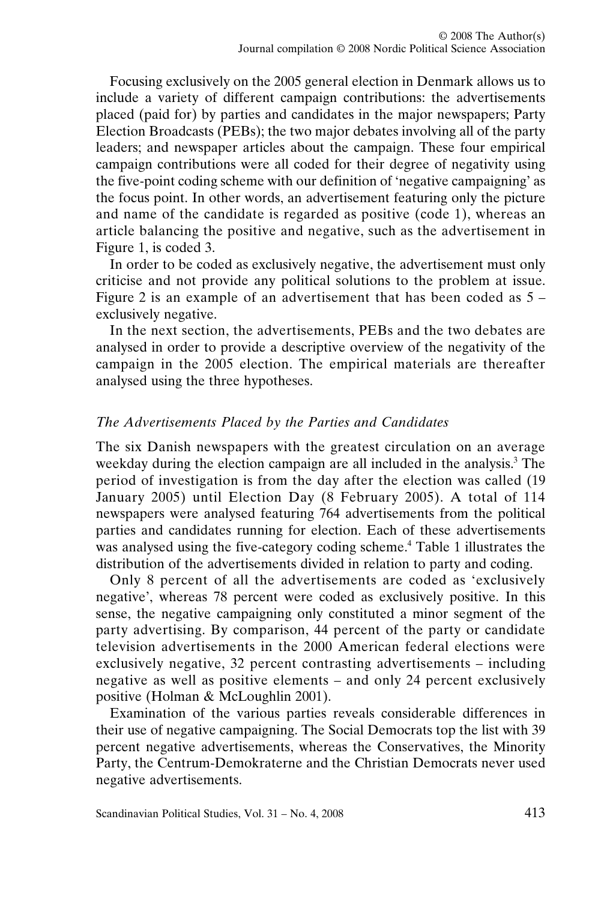Focusing exclusively on the 2005 general election in Denmark allows us to include a variety of different campaign contributions: the advertisements placed (paid for) by parties and candidates in the major newspapers; Party Election Broadcasts (PEBs); the two major debates involving all of the party leaders; and newspaper articles about the campaign. These four empirical campaign contributions were all coded for their degree of negativity using the five-point coding scheme with our definition of 'negative campaigning' as the focus point. In other words, an advertisement featuring only the picture and name of the candidate is regarded as positive (code 1), whereas an article balancing the positive and negative, such as the advertisement in Figure 1, is coded 3.

In order to be coded as exclusively negative, the advertisement must only criticise and not provide any political solutions to the problem at issue. Figure 2 is an example of an advertisement that has been coded as 5 – exclusively negative.

In the next section, the advertisements, PEBs and the two debates are analysed in order to provide a descriptive overview of the negativity of the campaign in the 2005 election. The empirical materials are thereafter analysed using the three hypotheses.

### *The Advertisements Placed by the Parties and Candidates*

The six Danish newspapers with the greatest circulation on an average weekday during the election campaign are all included in the analysis.<sup>3</sup> The period of investigation is from the day after the election was called (19 January 2005) until Election Day (8 February 2005). A total of 114 newspapers were analysed featuring 764 advertisements from the political parties and candidates running for election. Each of these advertisements was analysed using the five-category coding scheme.<sup>4</sup> Table 1 illustrates the distribution of the advertisements divided in relation to party and coding.

Only 8 percent of all the advertisements are coded as 'exclusively negative', whereas 78 percent were coded as exclusively positive. In this sense, the negative campaigning only constituted a minor segment of the party advertising. By comparison, 44 percent of the party or candidate television advertisements in the 2000 American federal elections were exclusively negative, 32 percent contrasting advertisements – including negative as well as positive elements – and only 24 percent exclusively positive (Holman & McLoughlin 2001).

Examination of the various parties reveals considerable differences in their use of negative campaigning. The Social Democrats top the list with 39 percent negative advertisements, whereas the Conservatives, the Minority Party, the Centrum-Demokraterne and the Christian Democrats never used negative advertisements.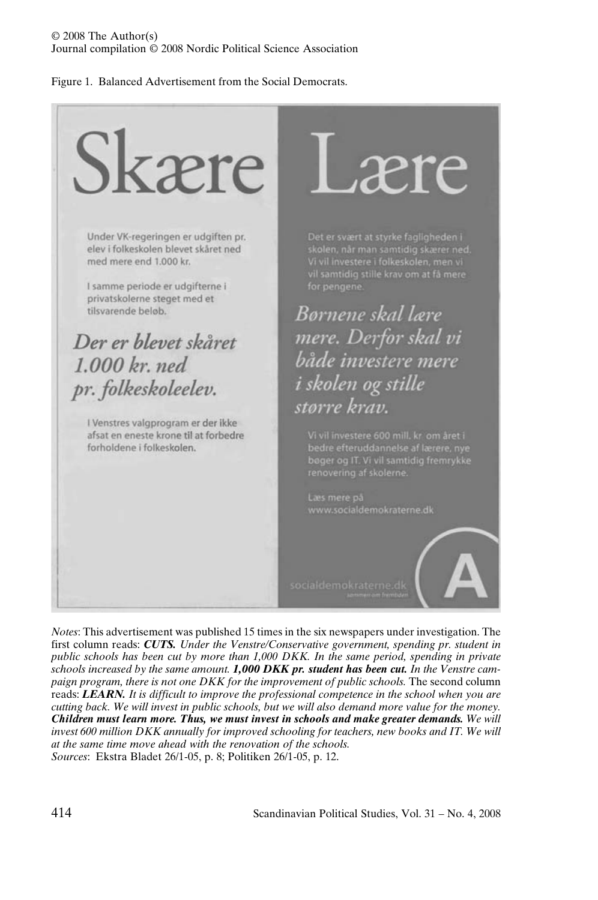#### Figure 1. Balanced Advertisement from the Social Democrats.



*Notes*: This advertisement was published 15 times in the six newspapers under investigation. The first column reads: *CUTS. Under the Venstre/Conservative government, spending pr. student in public schools has been cut by more than 1,000 DKK. In the same period, spending in private schools increased by the same amount. 1,000 DKK pr. student has been cut. In the Venstre campaign program, there is not one DKK for the improvement of public schools.* The second column reads: *LEARN. It is difficult to improve the professional competence in the school when you are cutting back. We will invest in public schools, but we will also demand more value for the money. Children must learn more. Thus, we must invest in schools and make greater demands. We will invest 600 million DKK annually for improved schooling for teachers, new books and IT. We will at the same time move ahead with the renovation of the schools. Sources*: Ekstra Bladet 26/1-05, p. 8; Politiken 26/1-05, p. 12.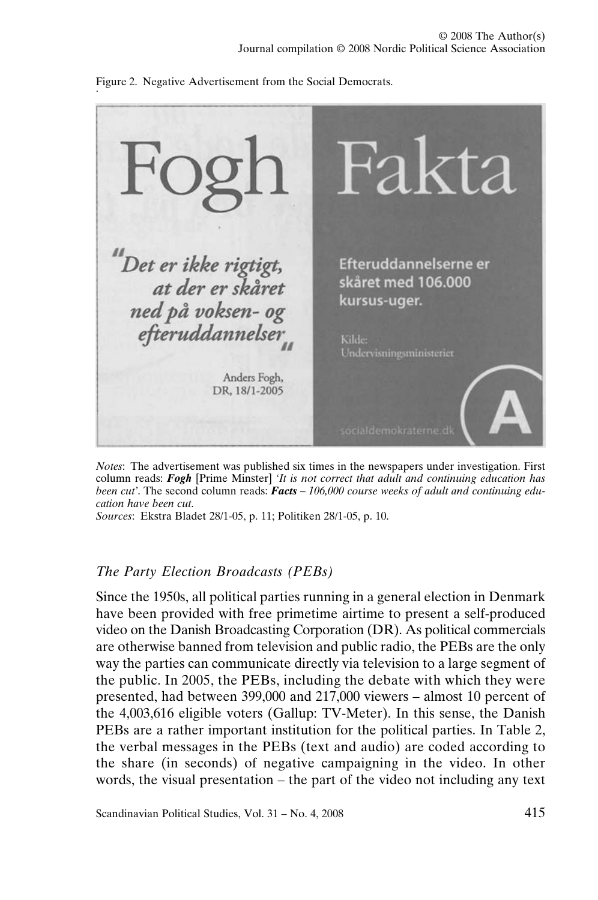

Fakta Det er ikke rigtigt, Efteruddannelserne er skåret med 106.000 at der er skåret kursus-uger. ned på voksen- og efteruddannelser Kilder Anders Fogh, DR, 18/1-2005

*Notes*: The advertisement was published six times in the newspapers under investigation. First column reads: *Fogh* [Prime Minster] *'It is not correct that adult and continuing education has been cut'*. The second column reads: *Facts – 106,000 course weeks of adult and continuing education have been cut*.

*Sources*: Ekstra Bladet 28/1-05, p. 11; Politiken 28/1-05, p. 10.

### *The Party Election Broadcasts (PEBs)*

Since the 1950s, all political parties running in a general election in Denmark have been provided with free primetime airtime to present a self-produced video on the Danish Broadcasting Corporation (DR). As political commercials are otherwise banned from television and public radio, the PEBs are the only way the parties can communicate directly via television to a large segment of the public. In 2005, the PEBs, including the debate with which they were presented, had between 399,000 and 217,000 viewers – almost 10 percent of the 4,003,616 eligible voters (Gallup: TV-Meter). In this sense, the Danish PEBs are a rather important institution for the political parties. In Table 2, the verbal messages in the PEBs (text and audio) are coded according to the share (in seconds) of negative campaigning in the video. In other words, the visual presentation – the part of the video not including any text

Scandinavian Political Studies, Vol. 31 – No. 4, 2008 415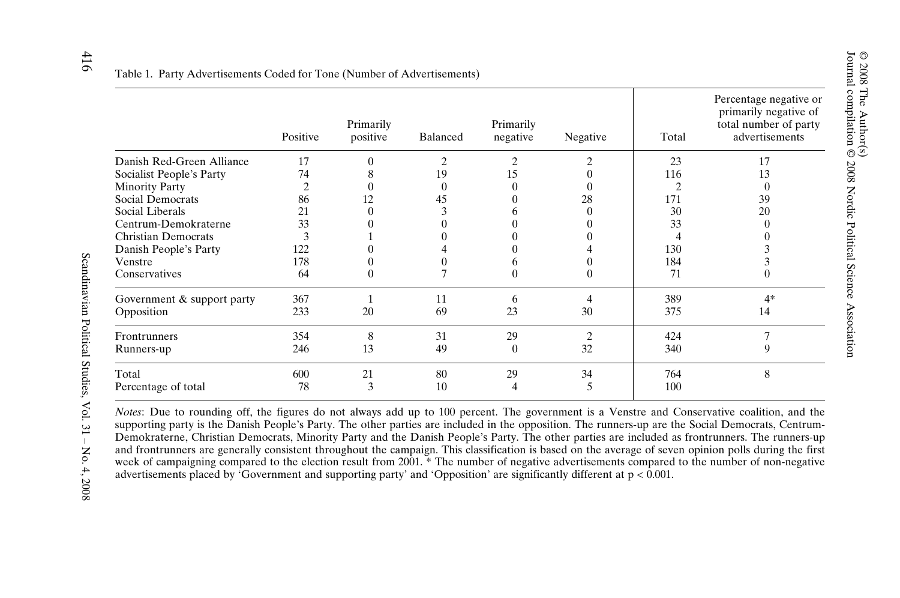| age negative or<br>ily negative of<br>umber of party<br>ertisements |
|---------------------------------------------------------------------|
| 17                                                                  |
| 13                                                                  |
| $\Omega$                                                            |
| 39                                                                  |
| 20                                                                  |
| $\theta$                                                            |
| $\theta$                                                            |
| 3                                                                   |
| 3                                                                   |
| $\Omega$                                                            |
| 4*                                                                  |

| Percentage negative or<br>primarily negative of<br>total number of party<br>advertisements | Journal compilation © 2008 Nordic Political Science Association |
|--------------------------------------------------------------------------------------------|-----------------------------------------------------------------|
| 17                                                                                         |                                                                 |
| 13                                                                                         |                                                                 |
| $\overline{0}$                                                                             |                                                                 |
| 39                                                                                         |                                                                 |
| 20                                                                                         |                                                                 |
| $\boldsymbol{0}$                                                                           |                                                                 |
| $\begin{array}{c} 0 \\ 3 \\ 3 \\ 0 \end{array}$                                            |                                                                 |
|                                                                                            |                                                                 |
|                                                                                            |                                                                 |
|                                                                                            |                                                                 |
| $4*$                                                                                       |                                                                 |
| 14                                                                                         |                                                                 |
| 7                                                                                          |                                                                 |
| 9                                                                                          |                                                                 |
| $\mathbf 8$                                                                                |                                                                 |

|                            | Positive | Primarily<br>positive | Balanced       | Primarily<br>negative | Negative       | Total | Percentage negative or<br>primarily negative of<br>total number of party<br>advertisements |
|----------------------------|----------|-----------------------|----------------|-----------------------|----------------|-------|--------------------------------------------------------------------------------------------|
| Danish Red-Green Alliance  | 17       | 0                     | $\overline{2}$ | 2                     | ↑              | 23    | 17                                                                                         |
| Socialist People's Party   | 74       | 8                     | 19             | 15                    |                | 116   | 13                                                                                         |
| <b>Minority Party</b>      |          |                       | $\theta$       |                       | $\theta$       |       |                                                                                            |
| Social Democrats           | 86       | 12                    | 45             |                       | 28             | 171   | 39                                                                                         |
| Social Liberals            | 21       | 0                     |                |                       |                | 30    | 20                                                                                         |
| Centrum-Demokraterne       | 33       |                       |                |                       |                | 33    |                                                                                            |
| <b>Christian Democrats</b> | 3        |                       |                |                       |                |       |                                                                                            |
| Danish People's Party      | 122      |                       |                |                       |                | 130   |                                                                                            |
| Venstre                    | 178      |                       |                |                       |                | 184   |                                                                                            |
| Conservatives              | 64       | $\Omega$              |                | 0                     | $\Omega$       | 71    |                                                                                            |
| Government & support party | 367      |                       | 11             | 6                     | 4              | 389   | $4*$                                                                                       |
| Opposition                 | 233      | 20                    | 69             | 23                    | 30             | 375   | 14                                                                                         |
| Frontrunners               | 354      | 8                     | 31             | 29                    | $\overline{2}$ | 424   |                                                                                            |
| Runners-up                 | 246      | 13                    | 49             | $\theta$              | 32             | 340   |                                                                                            |
| Total                      | 600      | 21                    | 80             | 29                    | 34             | 764   | 8                                                                                          |
| Percentage of total        | 78       | 3                     | 10             |                       | 5              | 100   |                                                                                            |

*Notes*: Due to rounding off, the figures do not always add up to 100 percent. The government is a Venstre and Conservative coalition, and the supporting party is the Danish People's Party. The other parties are included in the opposition. The runners-up are the Social Democrats, Centrum-Demokraterne, Christian Democrats, Minority Party and the Danish People's Party. The other parties are included as frontrunners. The runners-up and frontrunners are generally consistent throughout the campaign. This classification is based on the average of seven opinion polls during the first week of campaigning compared to the election result from 2001. \* The number of negative advertisements compared to the number of non-negative advertisements placed by Government and supporting party' and 'Opposition' are significantly different at  $p < 0.001$ .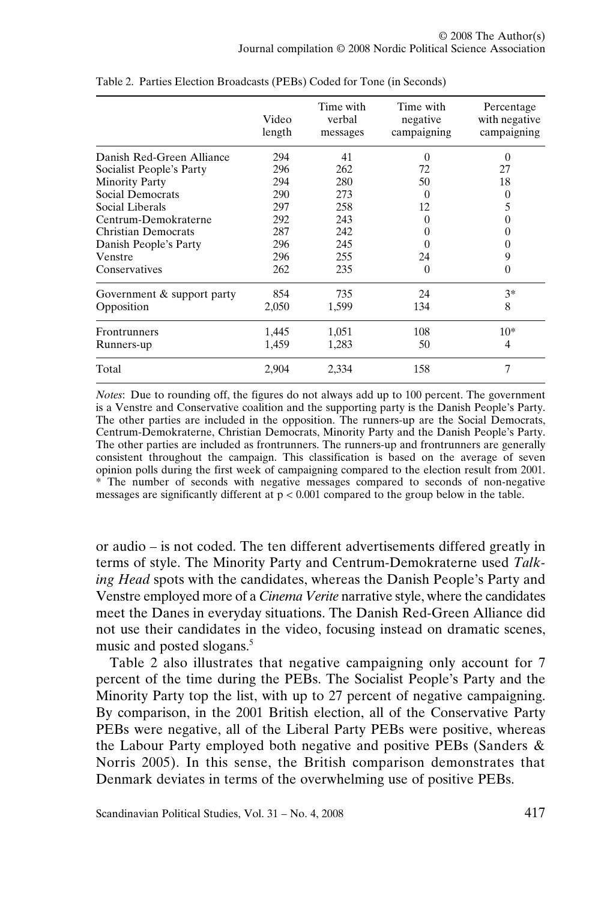|                            | Video<br>length | Time with<br>verbal<br>messages | Time with<br>negative<br>campaigning | Percentage<br>with negative<br>campaigning |
|----------------------------|-----------------|---------------------------------|--------------------------------------|--------------------------------------------|
| Danish Red-Green Alliance  | 294             | 41                              | 0                                    | $\mathbf{0}$                               |
| Socialist People's Party   | 296             | 262                             | 72                                   | 27                                         |
| <b>Minority Party</b>      | 294             | 280                             | 50                                   | 18                                         |
| Social Democrats           | 290             | 273                             | 0                                    | $\boldsymbol{0}$                           |
| Social Liberals            | 297             | 258                             | 12                                   | 5                                          |
| Centrum-Demokraterne       | 292             | 243                             | $_{0}$                               | $\boldsymbol{0}$                           |
| <b>Christian Democrats</b> | 287             | 242                             |                                      | 0                                          |
| Danish People's Party      | 296             | 245                             |                                      | $\Omega$                                   |
| Venstre                    | 296             | 255                             | 24                                   | 9                                          |
| Conservatives              | 262             | 235                             | $\theta$                             | $\mathbf{0}$                               |
| Government & support party | 854             | 735                             | 24                                   | $3*$                                       |
| Opposition                 | 2,050           | 1,599                           | 134                                  | 8                                          |
| <b>Frontrunners</b>        | 1,445           | 1,051                           | 108                                  | $10*$                                      |
| Runners-up                 | 1,459           | 1,283                           | 50                                   | 4                                          |
| Total                      | 2,904           | 2,334                           | 158                                  | 7                                          |

Table 2. Parties Election Broadcasts (PEBs) Coded for Tone (in Seconds)

*Notes*: Due to rounding off, the figures do not always add up to 100 percent. The government is a Venstre and Conservative coalition and the supporting party is the Danish People's Party. The other parties are included in the opposition. The runners-up are the Social Democrats, Centrum-Demokraterne, Christian Democrats, Minority Party and the Danish People's Party. The other parties are included as frontrunners. The runners-up and frontrunners are generally consistent throughout the campaign. This classification is based on the average of seven opinion polls during the first week of campaigning compared to the election result from 2001. \* The number of seconds with negative messages compared to seconds of non-negative messages are significantly different at  $p < 0.001$  compared to the group below in the table.

or audio – is not coded. The ten different advertisements differed greatly in terms of style. The Minority Party and Centrum-Demokraterne used *Talking Head* spots with the candidates, whereas the Danish People's Party and Venstre employed more of a *Cinema Verite* narrative style, where the candidates meet the Danes in everyday situations. The Danish Red-Green Alliance did not use their candidates in the video, focusing instead on dramatic scenes, music and posted slogans.<sup>5</sup>

Table 2 also illustrates that negative campaigning only account for 7 percent of the time during the PEBs. The Socialist People's Party and the Minority Party top the list, with up to 27 percent of negative campaigning. By comparison, in the 2001 British election, all of the Conservative Party PEBs were negative, all of the Liberal Party PEBs were positive, whereas the Labour Party employed both negative and positive PEBs (Sanders & Norris 2005). In this sense, the British comparison demonstrates that Denmark deviates in terms of the overwhelming use of positive PEBs.

Scandinavian Political Studies, Vol. 31 – No. 4, 2008 417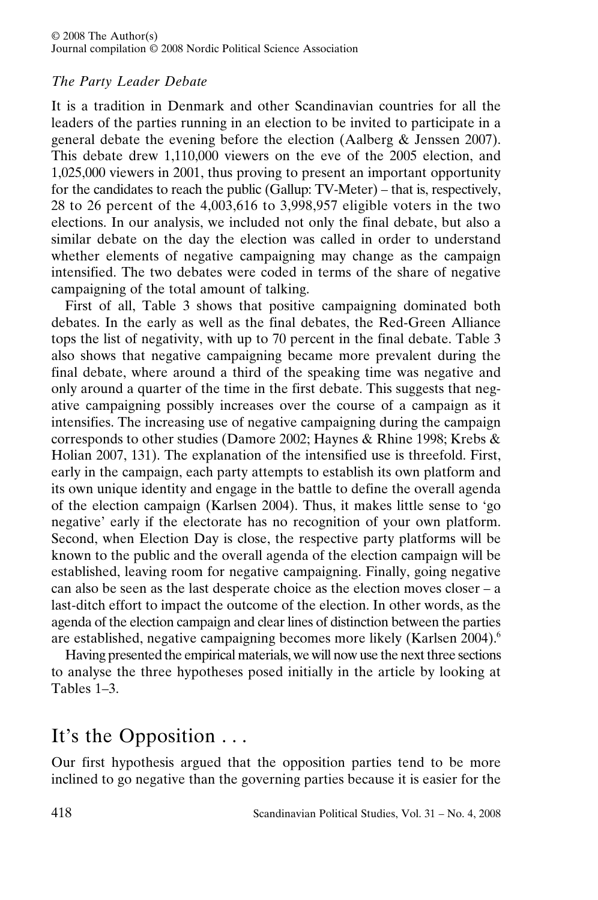### *The Party Leader Debate*

It is a tradition in Denmark and other Scandinavian countries for all the leaders of the parties running in an election to be invited to participate in a general debate the evening before the election (Aalberg & Jenssen 2007). This debate drew 1,110,000 viewers on the eve of the 2005 election, and 1,025,000 viewers in 2001, thus proving to present an important opportunity for the candidates to reach the public (Gallup: TV-Meter) – that is, respectively, 28 to 26 percent of the 4,003,616 to 3,998,957 eligible voters in the two elections. In our analysis, we included not only the final debate, but also a similar debate on the day the election was called in order to understand whether elements of negative campaigning may change as the campaign intensified. The two debates were coded in terms of the share of negative campaigning of the total amount of talking.

First of all, Table 3 shows that positive campaigning dominated both debates. In the early as well as the final debates, the Red-Green Alliance tops the list of negativity, with up to 70 percent in the final debate. Table 3 also shows that negative campaigning became more prevalent during the final debate, where around a third of the speaking time was negative and only around a quarter of the time in the first debate. This suggests that negative campaigning possibly increases over the course of a campaign as it intensifies. The increasing use of negative campaigning during the campaign corresponds to other studies (Damore 2002; Haynes & Rhine 1998; Krebs & Holian 2007, 131). The explanation of the intensified use is threefold. First, early in the campaign, each party attempts to establish its own platform and its own unique identity and engage in the battle to define the overall agenda of the election campaign (Karlsen 2004). Thus, it makes little sense to 'go negative' early if the electorate has no recognition of your own platform. Second, when Election Day is close, the respective party platforms will be known to the public and the overall agenda of the election campaign will be established, leaving room for negative campaigning. Finally, going negative can also be seen as the last desperate choice as the election moves closer – a last-ditch effort to impact the outcome of the election. In other words, as the agenda of the election campaign and clear lines of distinction between the parties are established, negative campaigning becomes more likely (Karlsen 2004).<sup>6</sup>

Having presented the empirical materials, we will now use the next three sections to analyse the three hypotheses posed initially in the article by looking at Tables 1–3.

# It's the Opposition . . .

Our first hypothesis argued that the opposition parties tend to be more inclined to go negative than the governing parties because it is easier for the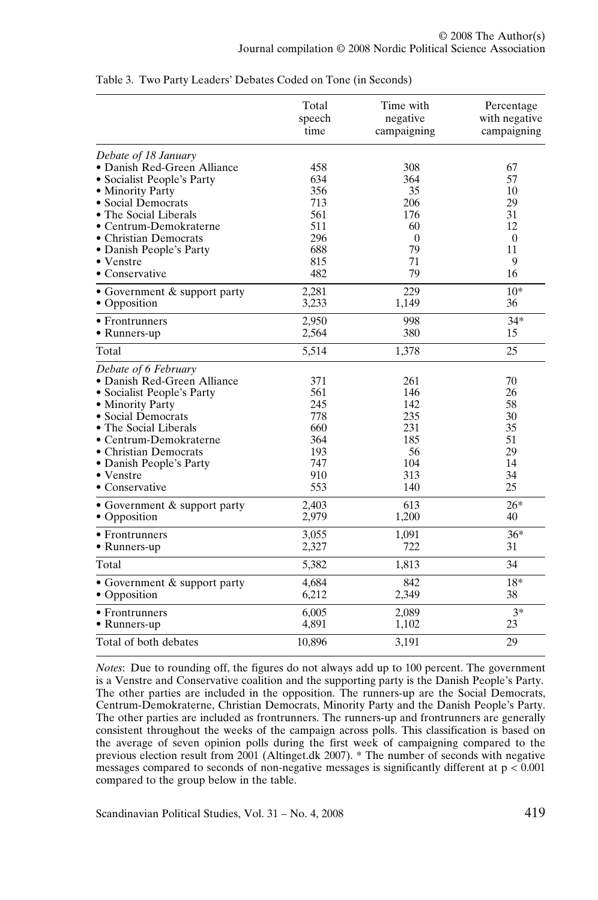|                                                                                                                                                                                                                                                                                                                             | Total                                                                                | Time with                                                                                | Percentage                                                                         |
|-----------------------------------------------------------------------------------------------------------------------------------------------------------------------------------------------------------------------------------------------------------------------------------------------------------------------------|--------------------------------------------------------------------------------------|------------------------------------------------------------------------------------------|------------------------------------------------------------------------------------|
|                                                                                                                                                                                                                                                                                                                             | speech                                                                               | negative                                                                                 | with negative                                                                      |
|                                                                                                                                                                                                                                                                                                                             | time                                                                                 | campaigning                                                                              | campaigning                                                                        |
| Debate of 18 January<br>• Danish Red-Green Alliance<br>• Socialist People's Party<br>• Minority Party<br>• Social Democrats<br>• The Social Liberals<br>• Centrum-Demokraterne<br>• Christian Democrats<br>• Danish People's Party<br>• Venstre<br>$\bullet$ Conservative<br>• Government $&$ support party<br>• Opposition | 458<br>634<br>356<br>713<br>561<br>511<br>296<br>688<br>815<br>482<br>2,281<br>3,233 | 308<br>364<br>35<br>206<br>176<br>60<br>$\overline{0}$<br>79<br>71<br>79<br>229<br>1,149 | 67<br>57<br>10<br>29<br>31<br>12<br>$\overline{0}$<br>11<br>9<br>16<br>$10*$<br>36 |
| • Frontrunners                                                                                                                                                                                                                                                                                                              | 2,950                                                                                | 998                                                                                      | $34*$                                                                              |
| • Runners-up                                                                                                                                                                                                                                                                                                                | 2,564                                                                                | 380                                                                                      | 15                                                                                 |
| Total                                                                                                                                                                                                                                                                                                                       | 5,514                                                                                | 1,378                                                                                    | 25                                                                                 |
| Debate of 6 February<br>• Danish Red-Green Alliance<br>• Socialist People's Party<br>• Minority Party<br>• Social Democrats<br>• The Social Liberals<br>• Centrum-Demokraterne<br>• Christian Democrats<br>· Danish People's Party<br>• Venstre<br>• Conservative                                                           | 371<br>561<br>245<br>778<br>660<br>364<br>193<br>747<br>910<br>553                   | 261<br>146<br>142<br>235<br>231<br>185<br>56<br>104<br>313<br>140                        | 70<br>26<br>58<br>30<br>35<br>51<br>29<br>14<br>34<br>25                           |
| • Government $&$ support party                                                                                                                                                                                                                                                                                              | 2.403                                                                                | 613                                                                                      | $26*$                                                                              |
| • Opposition                                                                                                                                                                                                                                                                                                                | 2,979                                                                                | 1,200                                                                                    | 40                                                                                 |
| • Frontrunners                                                                                                                                                                                                                                                                                                              | 3,055                                                                                | 1,091                                                                                    | $36*$                                                                              |
| • Runners-up                                                                                                                                                                                                                                                                                                                | 2,327                                                                                | 722                                                                                      | 31                                                                                 |
| Total                                                                                                                                                                                                                                                                                                                       | 5,382                                                                                | 1,813                                                                                    | 34                                                                                 |
| • Government $&$ support party                                                                                                                                                                                                                                                                                              | 4,684                                                                                | 842                                                                                      | $18*$                                                                              |
| · Opposition                                                                                                                                                                                                                                                                                                                | 6,212                                                                                | 2,349                                                                                    | 38                                                                                 |
| • Frontrunners                                                                                                                                                                                                                                                                                                              | 6,005                                                                                | 2,089                                                                                    | $3*$                                                                               |
| • Runners-up                                                                                                                                                                                                                                                                                                                | 4,891                                                                                | 1,102                                                                                    | 23                                                                                 |
| Total of both debates                                                                                                                                                                                                                                                                                                       | 10,896                                                                               | 3,191                                                                                    | 29                                                                                 |

Table 3. Two Party Leaders' Debates Coded on Tone (in Seconds)

*Notes*: Due to rounding off, the figures do not always add up to 100 percent. The government is a Venstre and Conservative coalition and the supporting party is the Danish People's Party. The other parties are included in the opposition. The runners-up are the Social Democrats, Centrum-Demokraterne, Christian Democrats, Minority Party and the Danish People's Party. The other parties are included as frontrunners. The runners-up and frontrunners are generally consistent throughout the weeks of the campaign across polls. This classification is based on the average of seven opinion polls during the first week of campaigning compared to the previous election result from 2001 (Altinget.dk 2007). \* The number of seconds with negative messages compared to seconds of non-negative messages is significantly different at  $p < 0.001$ compared to the group below in the table.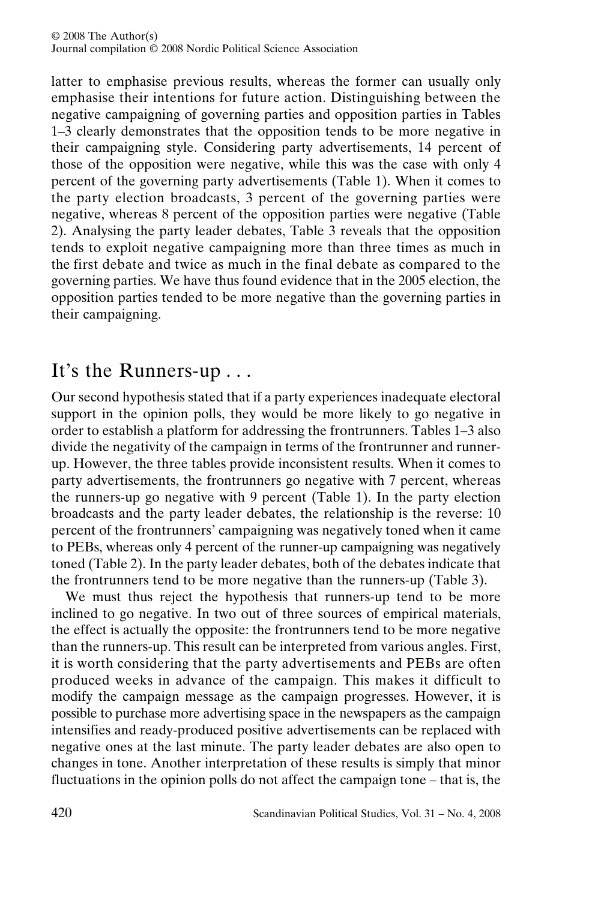latter to emphasise previous results, whereas the former can usually only emphasise their intentions for future action. Distinguishing between the negative campaigning of governing parties and opposition parties in Tables 1–3 clearly demonstrates that the opposition tends to be more negative in their campaigning style. Considering party advertisements, 14 percent of those of the opposition were negative, while this was the case with only 4 percent of the governing party advertisements (Table 1). When it comes to the party election broadcasts, 3 percent of the governing parties were negative, whereas 8 percent of the opposition parties were negative (Table 2). Analysing the party leader debates, Table 3 reveals that the opposition tends to exploit negative campaigning more than three times as much in the first debate and twice as much in the final debate as compared to the governing parties. We have thus found evidence that in the 2005 election, the opposition parties tended to be more negative than the governing parties in their campaigning.

### It's the Runners-up . . .

Our second hypothesis stated that if a party experiences inadequate electoral support in the opinion polls, they would be more likely to go negative in order to establish a platform for addressing the frontrunners. Tables 1–3 also divide the negativity of the campaign in terms of the frontrunner and runnerup. However, the three tables provide inconsistent results. When it comes to party advertisements, the frontrunners go negative with 7 percent, whereas the runners-up go negative with 9 percent (Table 1). In the party election broadcasts and the party leader debates, the relationship is the reverse: 10 percent of the frontrunners' campaigning was negatively toned when it came to PEBs, whereas only 4 percent of the runner-up campaigning was negatively toned (Table 2). In the party leader debates, both of the debates indicate that the frontrunners tend to be more negative than the runners-up (Table 3).

We must thus reject the hypothesis that runners-up tend to be more inclined to go negative. In two out of three sources of empirical materials, the effect is actually the opposite: the frontrunners tend to be more negative than the runners-up. This result can be interpreted from various angles. First, it is worth considering that the party advertisements and PEBs are often produced weeks in advance of the campaign. This makes it difficult to modify the campaign message as the campaign progresses. However, it is possible to purchase more advertising space in the newspapers as the campaign intensifies and ready-produced positive advertisements can be replaced with negative ones at the last minute. The party leader debates are also open to changes in tone. Another interpretation of these results is simply that minor fluctuations in the opinion polls do not affect the campaign tone – that is, the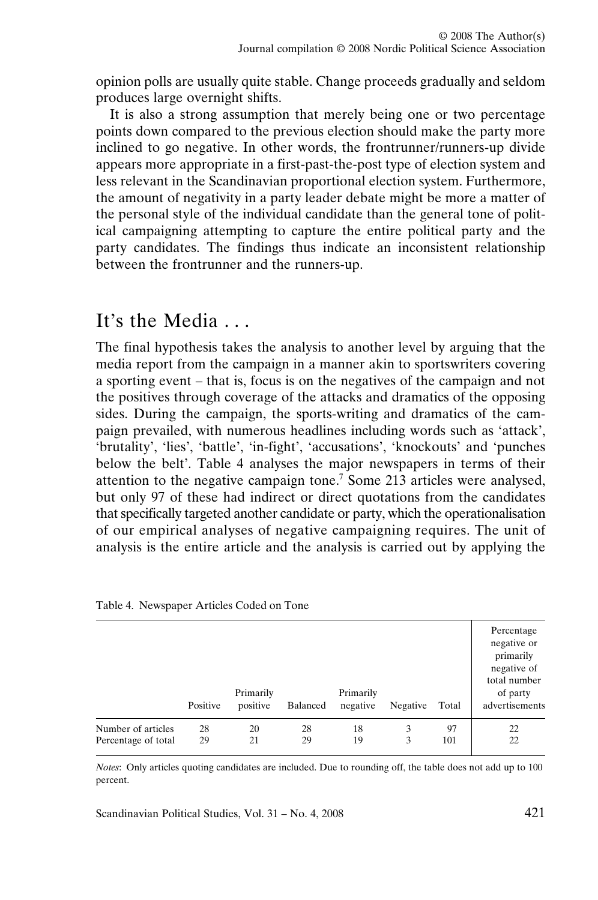opinion polls are usually quite stable. Change proceeds gradually and seldom produces large overnight shifts.

It is also a strong assumption that merely being one or two percentage points down compared to the previous election should make the party more inclined to go negative. In other words, the frontrunner/runners-up divide appears more appropriate in a first-past-the-post type of election system and less relevant in the Scandinavian proportional election system. Furthermore, the amount of negativity in a party leader debate might be more a matter of the personal style of the individual candidate than the general tone of political campaigning attempting to capture the entire political party and the party candidates. The findings thus indicate an inconsistent relationship between the frontrunner and the runners-up.

### It's the Media...

The final hypothesis takes the analysis to another level by arguing that the media report from the campaign in a manner akin to sportswriters covering a sporting event – that is, focus is on the negatives of the campaign and not the positives through coverage of the attacks and dramatics of the opposing sides. During the campaign, the sports-writing and dramatics of the campaign prevailed, with numerous headlines including words such as 'attack', 'brutality', 'lies', 'battle', 'in-fight', 'accusations', 'knockouts' and 'punches below the belt'. Table 4 analyses the major newspapers in terms of their attention to the negative campaign tone.<sup>7</sup> Some 213 articles were analysed, but only 97 of these had indirect or direct quotations from the candidates that specifically targeted another candidate or party, which the operationalisation of our empirical analyses of negative campaigning requires. The unit of analysis is the entire article and the analysis is carried out by applying the

|                     | Positive | Primarily<br>positive | Balanced | Primarily<br>negative | Negative | Total | Percentage<br>negative or<br>primarily<br>negative of<br>total number<br>of party<br>advertisements |
|---------------------|----------|-----------------------|----------|-----------------------|----------|-------|-----------------------------------------------------------------------------------------------------|
| Number of articles  | 28       | 20                    | 28       | 18                    | 3        | 97    | 22                                                                                                  |
| Percentage of total | 29       | 21                    | 29       | 19                    | 3        | 101   | 22                                                                                                  |

Table 4. Newspaper Articles Coded on Tone

*Notes*: Only articles quoting candidates are included. Due to rounding off, the table does not add up to 100 percent.

Scandinavian Political Studies, Vol. 31 – No. 4, 2008 421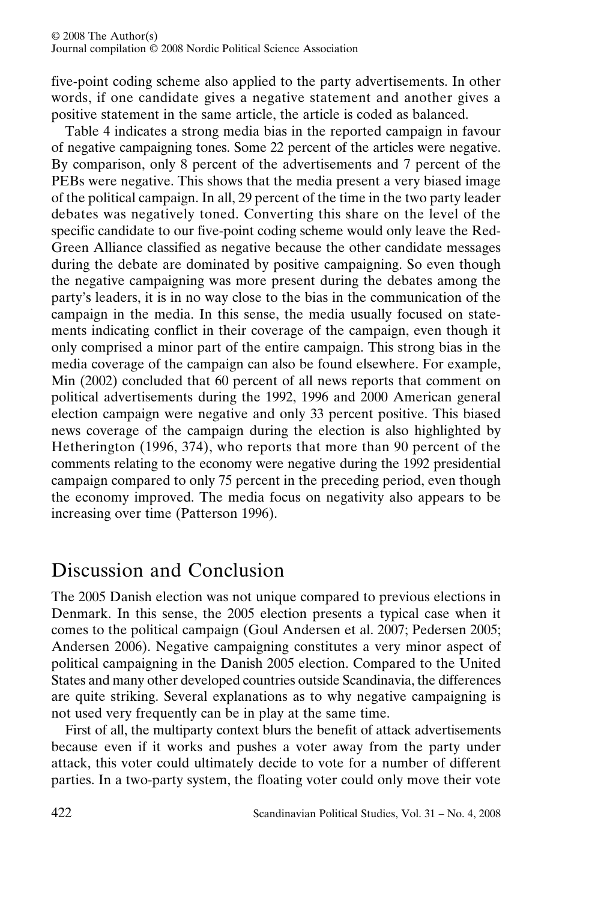five-point coding scheme also applied to the party advertisements. In other words, if one candidate gives a negative statement and another gives a positive statement in the same article, the article is coded as balanced.

Table 4 indicates a strong media bias in the reported campaign in favour of negative campaigning tones. Some 22 percent of the articles were negative. By comparison, only 8 percent of the advertisements and 7 percent of the PEBs were negative. This shows that the media present a very biased image of the political campaign. In all, 29 percent of the time in the two party leader debates was negatively toned. Converting this share on the level of the specific candidate to our five-point coding scheme would only leave the Red-Green Alliance classified as negative because the other candidate messages during the debate are dominated by positive campaigning. So even though the negative campaigning was more present during the debates among the party's leaders, it is in no way close to the bias in the communication of the campaign in the media. In this sense, the media usually focused on statements indicating conflict in their coverage of the campaign, even though it only comprised a minor part of the entire campaign. This strong bias in the media coverage of the campaign can also be found elsewhere. For example, Min (2002) concluded that 60 percent of all news reports that comment on political advertisements during the 1992, 1996 and 2000 American general election campaign were negative and only 33 percent positive. This biased news coverage of the campaign during the election is also highlighted by Hetherington (1996, 374), who reports that more than 90 percent of the comments relating to the economy were negative during the 1992 presidential campaign compared to only 75 percent in the preceding period, even though the economy improved. The media focus on negativity also appears to be increasing over time (Patterson 1996).

# Discussion and Conclusion

The 2005 Danish election was not unique compared to previous elections in Denmark. In this sense, the 2005 election presents a typical case when it comes to the political campaign (Goul Andersen et al. 2007; Pedersen 2005; Andersen 2006). Negative campaigning constitutes a very minor aspect of political campaigning in the Danish 2005 election. Compared to the United States and many other developed countries outside Scandinavia, the differences are quite striking. Several explanations as to why negative campaigning is not used very frequently can be in play at the same time.

First of all, the multiparty context blurs the benefit of attack advertisements because even if it works and pushes a voter away from the party under attack, this voter could ultimately decide to vote for a number of different parties. In a two-party system, the floating voter could only move their vote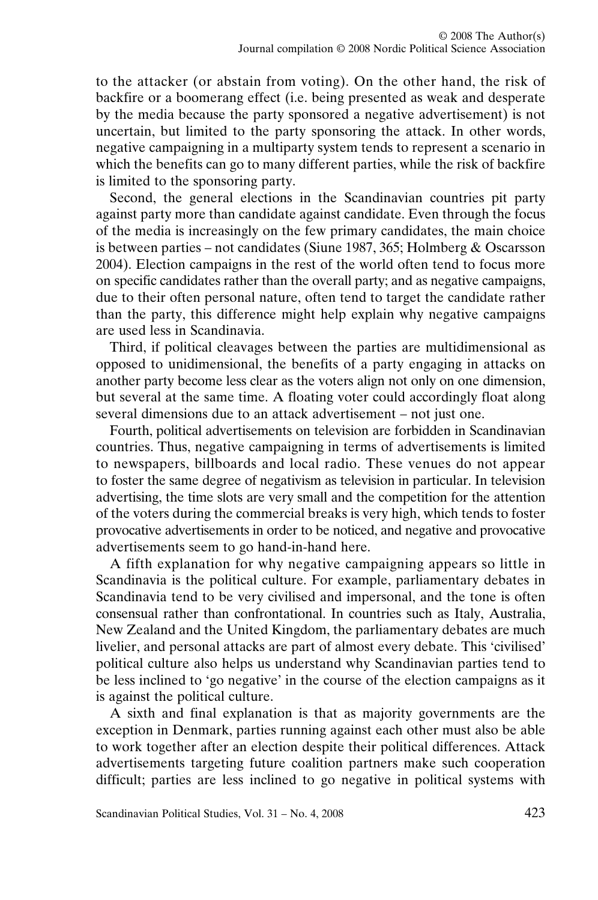to the attacker (or abstain from voting). On the other hand, the risk of backfire or a boomerang effect (i.e. being presented as weak and desperate by the media because the party sponsored a negative advertisement) is not uncertain, but limited to the party sponsoring the attack. In other words, negative campaigning in a multiparty system tends to represent a scenario in which the benefits can go to many different parties, while the risk of backfire is limited to the sponsoring party.

Second, the general elections in the Scandinavian countries pit party against party more than candidate against candidate. Even through the focus of the media is increasingly on the few primary candidates, the main choice is between parties – not candidates (Siune 1987, 365; Holmberg & Oscarsson 2004). Election campaigns in the rest of the world often tend to focus more on specific candidates rather than the overall party; and as negative campaigns, due to their often personal nature, often tend to target the candidate rather than the party, this difference might help explain why negative campaigns are used less in Scandinavia.

Third, if political cleavages between the parties are multidimensional as opposed to unidimensional, the benefits of a party engaging in attacks on another party become less clear as the voters align not only on one dimension, but several at the same time. A floating voter could accordingly float along several dimensions due to an attack advertisement – not just one.

Fourth, political advertisements on television are forbidden in Scandinavian countries. Thus, negative campaigning in terms of advertisements is limited to newspapers, billboards and local radio. These venues do not appear to foster the same degree of negativism as television in particular. In television advertising, the time slots are very small and the competition for the attention of the voters during the commercial breaks is very high, which tends to foster provocative advertisements in order to be noticed, and negative and provocative advertisements seem to go hand-in-hand here.

A fifth explanation for why negative campaigning appears so little in Scandinavia is the political culture. For example, parliamentary debates in Scandinavia tend to be very civilised and impersonal, and the tone is often consensual rather than confrontational. In countries such as Italy, Australia, New Zealand and the United Kingdom, the parliamentary debates are much livelier, and personal attacks are part of almost every debate. This 'civilised' political culture also helps us understand why Scandinavian parties tend to be less inclined to 'go negative' in the course of the election campaigns as it is against the political culture.

A sixth and final explanation is that as majority governments are the exception in Denmark, parties running against each other must also be able to work together after an election despite their political differences. Attack advertisements targeting future coalition partners make such cooperation difficult; parties are less inclined to go negative in political systems with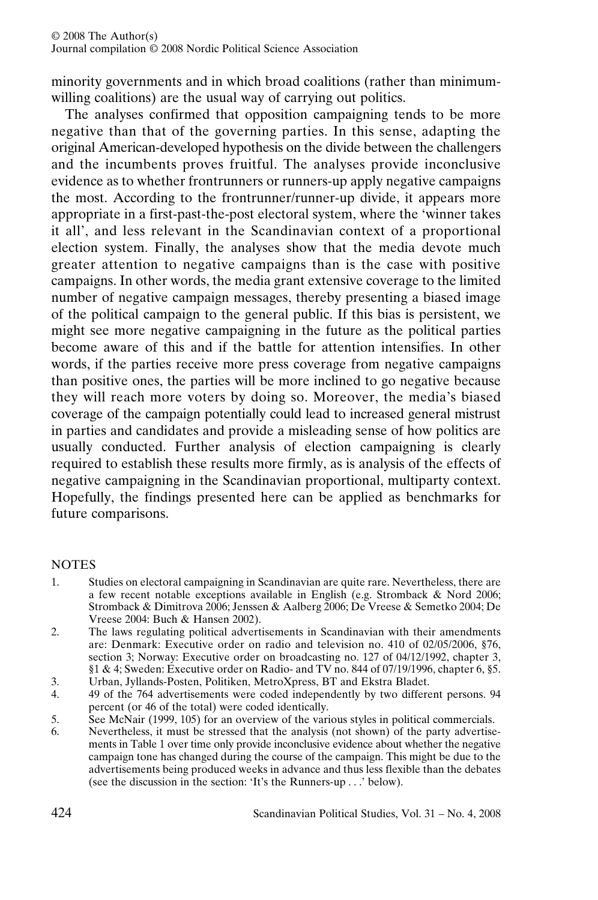minority governments and in which broad coalitions (rather than minimumwilling coalitions) are the usual way of carrying out politics.

The analyses confirmed that opposition campaigning tends to be more negative than that of the governing parties. In this sense, adapting the original American-developed hypothesis on the divide between the challengers and the incumbents proves fruitful. The analyses provide inconclusive evidence as to whether frontrunners or runners-up apply negative campaigns the most. According to the frontrunner/runner-up divide, it appears more appropriate in a first-past-the-post electoral system, where the 'winner takes it all', and less relevant in the Scandinavian context of a proportional election system. Finally, the analyses show that the media devote much greater attention to negative campaigns than is the case with positive campaigns. In other words, the media grant extensive coverage to the limited number of negative campaign messages, thereby presenting a biased image of the political campaign to the general public. If this bias is persistent, we might see more negative campaigning in the future as the political parties become aware of this and if the battle for attention intensifies. In other words, if the parties receive more press coverage from negative campaigns than positive ones, the parties will be more inclined to go negative because they will reach more voters by doing so. Moreover, the media's biased coverage of the campaign potentially could lead to increased general mistrust in parties and candidates and provide a misleading sense of how politics are usually conducted. Further analysis of election campaigning is clearly required to establish these results more firmly, as is analysis of the effects of negative campaigning in the Scandinavian proportional, multiparty context. Hopefully, the findings presented here can be applied as benchmarks for future comparisons.

#### NOTES

- 1. Studies on electoral campaigning in Scandinavian are quite rare. Nevertheless, there are a few recent notable exceptions available in English (e.g. Stromback & Nord 2006; Stromback & Dimitrova 2006; Jenssen & Aalberg 2006; De Vreese & Semetko 2004; De Vreese 2004: Buch & Hansen 2002).
- 2. The laws regulating political advertisements in Scandinavian with their amendments are: Denmark: Executive order on radio and television no. 410 of 02/05/2006, §76, section 3; Norway: Executive order on broadcasting no. 127 of 04/12/1992, chapter 3, §1 & 4; Sweden: Executive order on Radio- and TV no. 844 of 07/19/1996, chapter 6, §5.
- 3. Urban, Jyllands-Posten, Politiken, MetroXpress, BT and Ekstra Bladet.
- 49 of the 764 advertisements were coded independently by two different persons. 94 percent (or 46 of the total) were coded identically.
- 5. See McNair (1999, 105) for an overview of the various styles in political commercials.
- 6. Nevertheless, it must be stressed that the analysis (not shown) of the party advertisements in Table 1 over time only provide inconclusive evidence about whether the negative campaign tone has changed during the course of the campaign. This might be due to the advertisements being produced weeks in advance and thus less flexible than the debates (see the discussion in the section: 'It's the Runners-up . . .' below).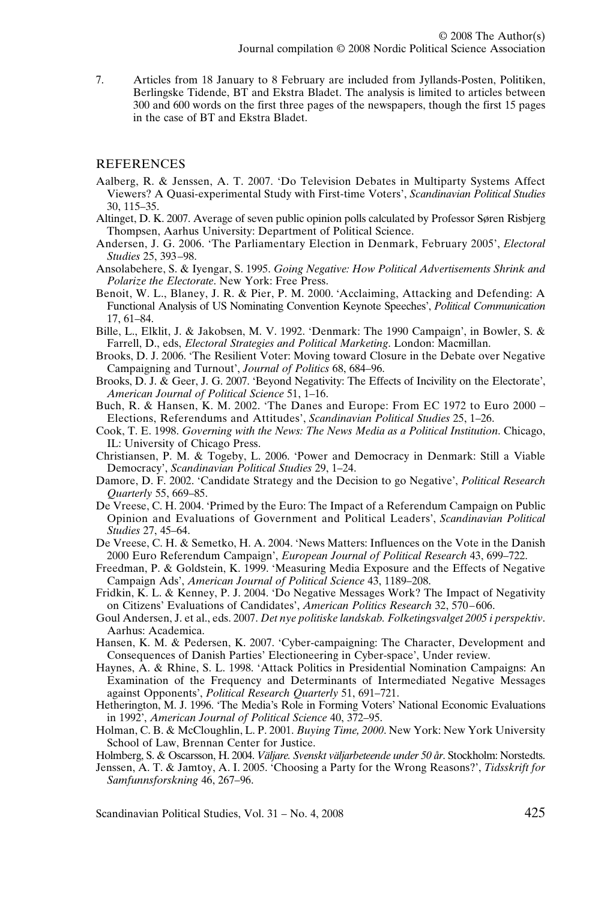7. Articles from 18 January to 8 February are included from Jyllands-Posten, Politiken, Berlingske Tidende, BT and Ekstra Bladet. The analysis is limited to articles between 300 and 600 words on the first three pages of the newspapers, though the first 15 pages in the case of BT and Ekstra Bladet.

#### **REFERENCES**

- Aalberg, R. & Jenssen, A. T. 2007. 'Do Television Debates in Multiparty Systems Affect Viewers? A Quasi-experimental Study with First-time Voters', *Scandinavian Political Studies* 30, 115–35.
- Altinget, D. K. 2007. Average of seven public opinion polls calculated by Professor Søren Risbjerg Thompsen, Aarhus University: Department of Political Science.
- Andersen, J. G. 2006. 'The Parliamentary Election in Denmark, February 2005', *Electoral Studies* 25, 393–98.
- Ansolabehere, S. & Iyengar, S. 1995. *Going Negative: How Political Advertisements Shrink and Polarize the Electorate*. New York: Free Press.
- Benoit, W. L., Blaney, J. R. & Pier, P. M. 2000. 'Acclaiming, Attacking and Defending: A Functional Analysis of US Nominating Convention Keynote Speeches', *Political Communication* 17, 61–84.
- Bille, L., Elklit, J. & Jakobsen, M. V. 1992. 'Denmark: The 1990 Campaign', in Bowler, S. & Farrell, D., eds, *Electoral Strategies and Political Marketing*. London: Macmillan.
- Brooks, D. J. 2006. 'The Resilient Voter: Moving toward Closure in the Debate over Negative Campaigning and Turnout', *Journal of Politics* 68, 684–96.
- Brooks, D. J. & Geer, J. G. 2007. 'Beyond Negativity: The Effects of Incivility on the Electorate', *American Journal of Political Science* 51, 1–16.
- Buch, R. & Hansen, K. M. 2002. 'The Danes and Europe: From EC 1972 to Euro 2000 Elections, Referendums and Attitudes', *Scandinavian Political Studies* 25, 1–26.
- Cook, T. E. 1998. *Governing with the News: The News Media as a Political Institution*. Chicago, IL: University of Chicago Press.
- Christiansen, P. M. & Togeby, L. 2006. 'Power and Democracy in Denmark: Still a Viable Democracy', *Scandinavian Political Studies* 29, 1–24.
- Damore, D. F. 2002. 'Candidate Strategy and the Decision to go Negative', *Political Research Quarterly* 55, 669–85.
- De Vreese, C. H. 2004. 'Primed by the Euro: The Impact of a Referendum Campaign on Public Opinion and Evaluations of Government and Political Leaders', *Scandinavian Political Studies* 27, 45–64.
- De Vreese, C. H. & Semetko, H. A. 2004. 'News Matters: Influences on the Vote in the Danish 2000 Euro Referendum Campaign', *European Journal of Political Research* 43, 699–722.
- Freedman, P. & Goldstein, K. 1999. 'Measuring Media Exposure and the Effects of Negative Campaign Ads', *American Journal of Political Science* 43, 1189–208.
- Fridkin, K. L. & Kenney, P. J. 2004. 'Do Negative Messages Work? The Impact of Negativity on Citizens' Evaluations of Candidates', *American Politics Research* 32, 570–606.
- Goul Andersen, J. et al., eds. 2007. *Det nye politiske landskab. Folketingsvalget 2005 i perspektiv*. Aarhus: Academica.
- Hansen, K. M. & Pedersen, K. 2007. 'Cyber-campaigning: The Character, Development and Consequences of Danish Parties' Electioneering in Cyber-space', Under review.
- Haynes, A. & Rhine, S. L. 1998. 'Attack Politics in Presidential Nomination Campaigns: An Examination of the Frequency and Determinants of Intermediated Negative Messages against Opponents', *Political Research Quarterly* 51, 691–721.
- Hetherington, M. J. 1996. 'The Media's Role in Forming Voters' National Economic Evaluations in 1992', *American Journal of Political Science* 40, 372–95.
- Holman, C. B. & McCloughlin, L. P. 2001. *Buying Time, 2000*. New York: New York University School of Law, Brennan Center for Justice.
- Holmberg, S. & Oscarsson, H. 2004. *Väljare. Svenskt väljarbeteende under 50 år*. Stockholm: Norstedts.
- Jenssen, A. T. & Jamtoy, A. I. 2005. 'Choosing a Party for the Wrong Reasons?', *Tidsskrift for Samfunnsforskning* 46, 267–96.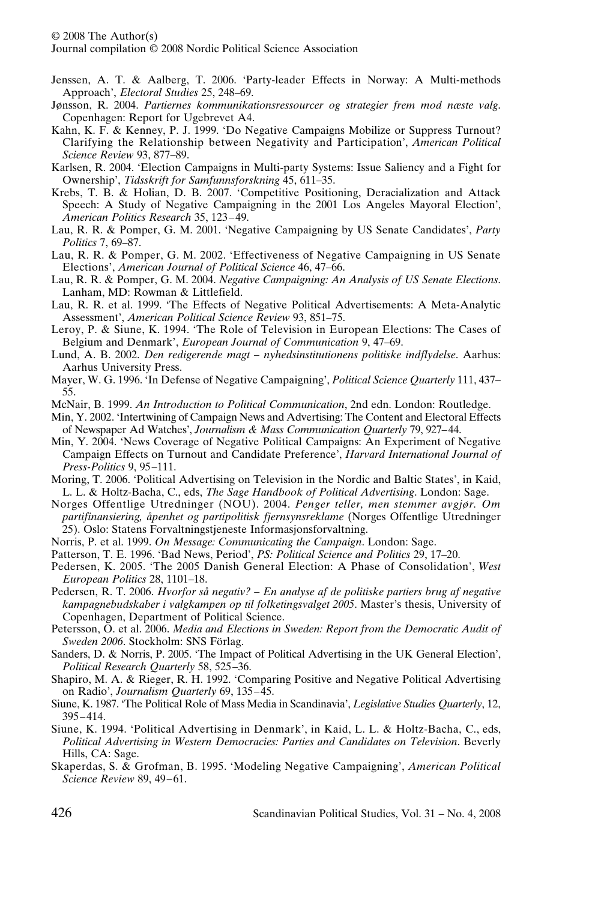- Jenssen, A. T. & Aalberg, T. 2006. 'Party-leader Effects in Norway: A Multi-methods Approach', *Electoral Studies* 25, 248–69.
- Jønsson, R. 2004. *Partiernes kommunikationsressourcer og strategier frem mod næste valg*. Copenhagen: Report for Ugebrevet A4.
- Kahn, K. F. & Kenney, P. J. 1999. 'Do Negative Campaigns Mobilize or Suppress Turnout? Clarifying the Relationship between Negativity and Participation', *American Political Science Review* 93, 877–89.
- Karlsen, R. 2004. 'Election Campaigns in Multi-party Systems: Issue Saliency and a Fight for Ownership', *Tidsskrift for Samfunnsforskning* 45, 611–35.
- Krebs, T. B. & Holian, D. B. 2007. 'Competitive Positioning, Deracialization and Attack Speech: A Study of Negative Campaigning in the 2001 Los Angeles Mayoral Election', *American Politics Research* 35, 123–49.
- Lau, R. R. & Pomper, G. M. 2001. 'Negative Campaigning by US Senate Candidates', *Party Politics* 7, 69–87.
- Lau, R. R. & Pomper, G. M. 2002. 'Effectiveness of Negative Campaigning in US Senate Elections', *American Journal of Political Science* 46, 47–66.
- Lau, R. R. & Pomper, G. M. 2004. *Negative Campaigning: An Analysis of US Senate Elections*. Lanham, MD: Rowman & Littlefield.
- Lau, R. R. et al. 1999. 'The Effects of Negative Political Advertisements: A Meta-Analytic Assessment', *American Political Science Review* 93, 851–75.
- Leroy, P. & Siune, K. 1994. 'The Role of Television in European Elections: The Cases of Belgium and Denmark', *European Journal of Communication* 9, 47–69.
- Lund, A. B. 2002. *Den redigerende magt nyhedsinstitutionens politiske indflydelse*. Aarhus: Aarhus University Press.
- Mayer, W. G. 1996. 'In Defense of Negative Campaigning', *Political Science Quarterly* 111, 437– 55.
- McNair, B. 1999. *An Introduction to Political Communication*, 2nd edn. London: Routledge.
- Min, Y. 2002. 'Intertwining of Campaign News and Advertising: The Content and Electoral Effects of Newspaper Ad Watches', *Journalism & Mass Communication Quarterly* 79, 927–44.
- Min, Y. 2004. 'News Coverage of Negative Political Campaigns: An Experiment of Negative Campaign Effects on Turnout and Candidate Preference', *Harvard International Journal of Press-Politics* 9, 95–111.
- Moring, T. 2006. 'Political Advertising on Television in the Nordic and Baltic States', in Kaid, L. L. & Holtz-Bacha, C., eds, *The Sage Handbook of Political Advertising*. London: Sage.
- Norges Offentlige Utredninger (NOU). 2004. *Penger teller, men stemmer avgjør. Om partifinansiering, åpenhet og partipolitisk fjernsynsreklame* (Norges Offentlige Utredninger 25). Oslo: Statens Forvaltningstjeneste Informasjonsforvaltning.
- Norris, P. et al. 1999. *On Message: Communicating the Campaign*. London: Sage.
- Patterson, T. E. 1996. 'Bad News, Period', *PS: Political Science and Politics* 29, 17–20.
- Pedersen, K. 2005. 'The 2005 Danish General Election: A Phase of Consolidation', *West European Politics* 28, 1101–18.
- Pedersen, R. T. 2006. *Hvorfor så negativ? En analyse af de politiske partiers brug af negative kampagnebudskaber i valgkampen op til folketingsvalget 2005*. Master's thesis, University of Copenhagen, Department of Political Science.
- Petersson, O. et al. 2006. *Media and Elections in Sweden: Report from the Democratic Audit of Sweden 2006*. Stockholm: SNS Förlag.
- Sanders, D. & Norris, P. 2005. 'The Impact of Political Advertising in the UK General Election', *Political Research Quarterly* 58, 525–36.
- Shapiro, M. A. & Rieger, R. H. 1992. 'Comparing Positive and Negative Political Advertising on Radio', *Journalism Quarterly* 69, 135–45.
- Siune, K. 1987. 'The Political Role of Mass Media in Scandinavia', *Legislative Studies Quarterly*, 12, 395–414.
- Siune, K. 1994. 'Political Advertising in Denmark', in Kaid, L. L. & Holtz-Bacha, C., eds, *Political Advertising in Western Democracies: Parties and Candidates on Television*. Beverly Hills, CA: Sage.
- Skaperdas, S. & Grofman, B. 1995. 'Modeling Negative Campaigning', *American Political Science Review* 89, 49–61.